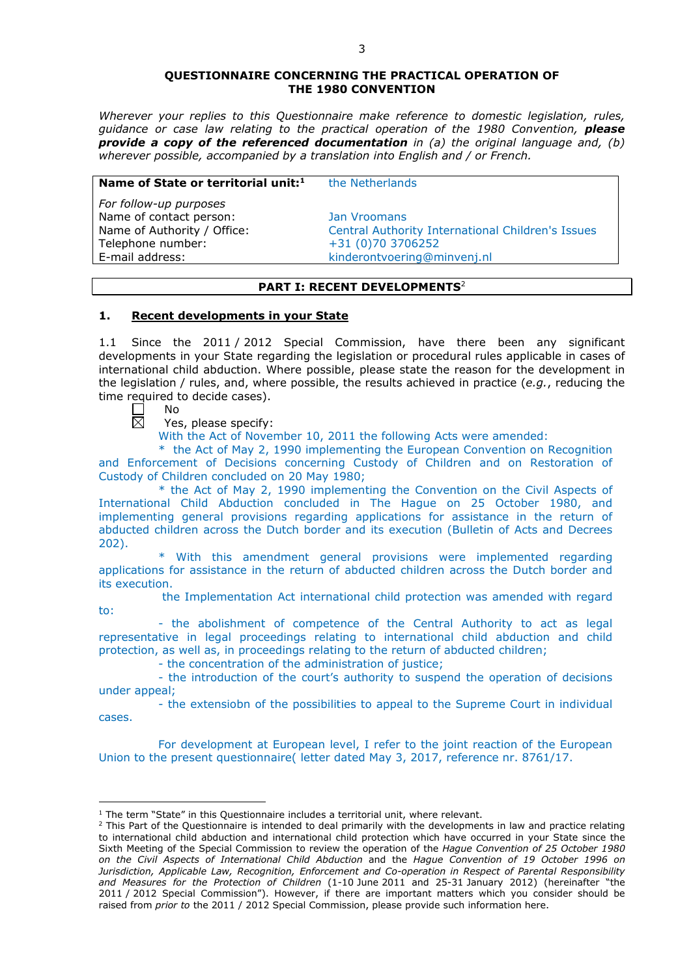### **QUESTIONNAIRE CONCERNING THE PRACTICAL OPERATION OF THE 1980 CONVENTION**

*Wherever your replies to this Questionnaire make reference to domestic legislation, rules, guidance or case law relating to the practical operation of the 1980 Convention, please provide a copy of the referenced documentation in (a) the original language and, (b) wherever possible, accompanied by a translation into English and / or French.* 

### **Name of State or territorial unit:**<sup>1</sup> the Netherlands

*For follow-up purposes* Name of contact person: Jan Vroomans Telephone number: +31 (0)70 3706252

Name of Authority / Office: Central Authority International Children's Issues E-mail address: kinderontvoering@minvenj.nl

# **PART I: RECENT DEVELOPMENTS**<sup>2</sup>

# **1. Recent developments in your State**

1.1 Since the 2011 / 2012 Special Commission, have there been any significant developments in your State regarding the legislation or procedural rules applicable in cases of international child abduction. Where possible, please state the reason for the development in the legislation / rules, and, where possible, the results achieved in practice (*e.g.*, reducing the time required to decide cases).

No 岗

<u>.</u>

Yes, please specify:

With the Act of November 10, 2011 the following Acts were amended:

\* the Act of May 2, 1990 implementing the European Convention on Recognition and Enforcement of Decisions concerning Custody of Children and on Restoration of Custody of Children concluded on 20 May 1980;

\* the Act of May 2, 1990 implementing the Convention on the Civil Aspects of International Child Abduction concluded in The Hague on 25 October 1980, and implementing general provisions regarding applications for assistance in the return of abducted children across the Dutch border and its execution (Bulletin of Acts and Decrees 202).

\* With this amendment general provisions were implemented regarding applications for assistance in the return of abducted children across the Dutch border and its execution.

the Implementation Act international child protection was amended with regard to:

- the abolishment of competence of the Central Authority to act as legal representative in legal proceedings relating to international child abduction and child protection, as well as, in proceedings relating to the return of abducted children;

- the concentration of the administration of justice;

- the introduction of the court's authority to suspend the operation of decisions under appeal;

- the extensiobn of the possibilities to appeal to the Supreme Court in individual cases.

For development at European level, I refer to the joint reaction of the European Union to the present questionnaire( letter dated May 3, 2017, reference nr. 8761/17.

<sup>&</sup>lt;sup>1</sup> The term "State" in this Questionnaire includes a territorial unit, where relevant.

<sup>&</sup>lt;sup>2</sup> This Part of the Questionnaire is intended to deal primarily with the developments in law and practice relating to international child abduction and international child protection which have occurred in your State since the Sixth Meeting of the Special Commission to review the operation of the *Hague Convention of 25 October 1980 on the Civil Aspects of International Child Abduction* and the *Hague Convention of 19 October 1996 on Jurisdiction, Applicable Law, Recognition, Enforcement and Co-operation in Respect of Parental Responsibility and Measures for the Protection of Children* (1-10 June 2011 and 25-31 January 2012) (hereinafter "the 2011 / 2012 Special Commission"). However, if there are important matters which you consider should be raised from *prior to* the 2011 / 2012 Special Commission, please provide such information here.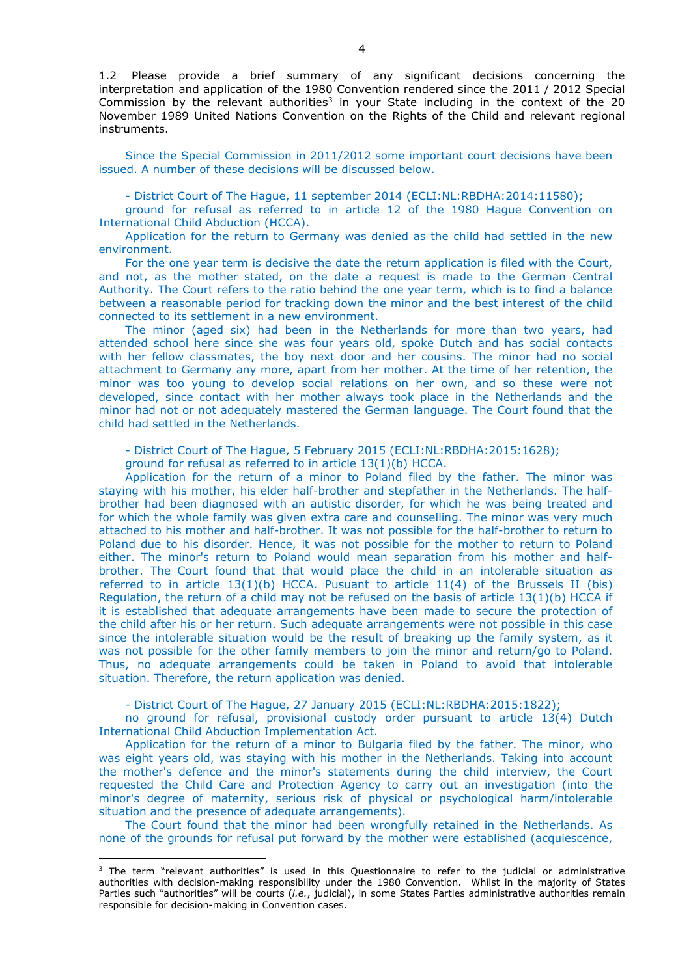1.2 Please provide a brief summary of any significant decisions concerning the interpretation and application of the 1980 Convention rendered since the 2011 / 2012 Special Commission by the relevant authorities<sup>3</sup> in your State including in the context of the 20 November 1989 United Nations Convention on the Rights of the Child and relevant regional instruments.

Since the Special Commission in 2011/2012 some important court decisions have been issued. A number of these decisions will be discussed below.

- District Court of The Hague, 11 september 2014 (ECLI:NL:RBDHA:2014:11580);

ground for refusal as referred to in article 12 of the 1980 Hague Convention on International Child Abduction (HCCA).

Application for the return to Germany was denied as the child had settled in the new environment.

For the one year term is decisive the date the return application is filed with the Court, and not, as the mother stated, on the date a request is made to the German Central Authority. The Court refers to the ratio behind the one year term, which is to find a balance between a reasonable period for tracking down the minor and the best interest of the child connected to its settlement in a new environment.

The minor (aged six) had been in the Netherlands for more than two years, had attended school here since she was four years old, spoke Dutch and has social contacts with her fellow classmates, the boy next door and her cousins. The minor had no social attachment to Germany any more, apart from her mother. At the time of her retention, the minor was too young to develop social relations on her own, and so these were not developed, since contact with her mother always took place in the Netherlands and the minor had not or not adequately mastered the German language. The Court found that the child had settled in the Netherlands.

- District Court of The Hague, 5 February 2015 (ECLI:NL:RBDHA:2015:1628);

ground for refusal as referred to in article 13(1)(b) HCCA.

Application for the return of a minor to Poland filed by the father. The minor was staying with his mother, his elder half-brother and stepfather in the Netherlands. The halfbrother had been diagnosed with an autistic disorder, for which he was being treated and for which the whole family was given extra care and counselling. The minor was very much attached to his mother and half-brother. It was not possible for the half-brother to return to Poland due to his disorder. Hence, it was not possible for the mother to return to Poland either. The minor's return to Poland would mean separation from his mother and halfbrother. The Court found that that would place the child in an intolerable situation as referred to in article  $13(1)(b)$  HCCA. Pusuant to article  $11(4)$  of the Brussels II (bis) Regulation, the return of a child may not be refused on the basis of article  $13(1)(b)$  HCCA if it is established that adequate arrangements have been made to secure the protection of the child after his or her return. Such adequate arrangements were not possible in this case since the intolerable situation would be the result of breaking up the family system, as it was not possible for the other family members to join the minor and return/go to Poland. Thus, no adequate arrangements could be taken in Poland to avoid that intolerable situation. Therefore, the return application was denied.

- District Court of The Hague, 27 January 2015 (ECLI:NL:RBDHA:2015:1822);

no ground for refusal, provisional custody order pursuant to article 13(4) Dutch International Child Abduction Implementation Act.

Application for the return of a minor to Bulgaria filed by the father. The minor, who was eight years old, was staying with his mother in the Netherlands. Taking into account the mother's defence and the minor's statements during the child interview, the Court requested the Child Care and Protection Agency to carry out an investigation (into the minor's degree of maternity, serious risk of physical or psychological harm/intolerable situation and the presence of adequate arrangements).

The Court found that the minor had been wrongfully retained in the Netherlands. As none of the grounds for refusal put forward by the mother were established (acquiescence,

-

<sup>&</sup>lt;sup>3</sup> The term "relevant authorities" is used in this Questionnaire to refer to the judicial or administrative authorities with decision-making responsibility under the 1980 Convention. Whilst in the majority of States Parties such "authorities" will be courts (*i.e.*, judicial), in some States Parties administrative authorities remain responsible for decision-making in Convention cases.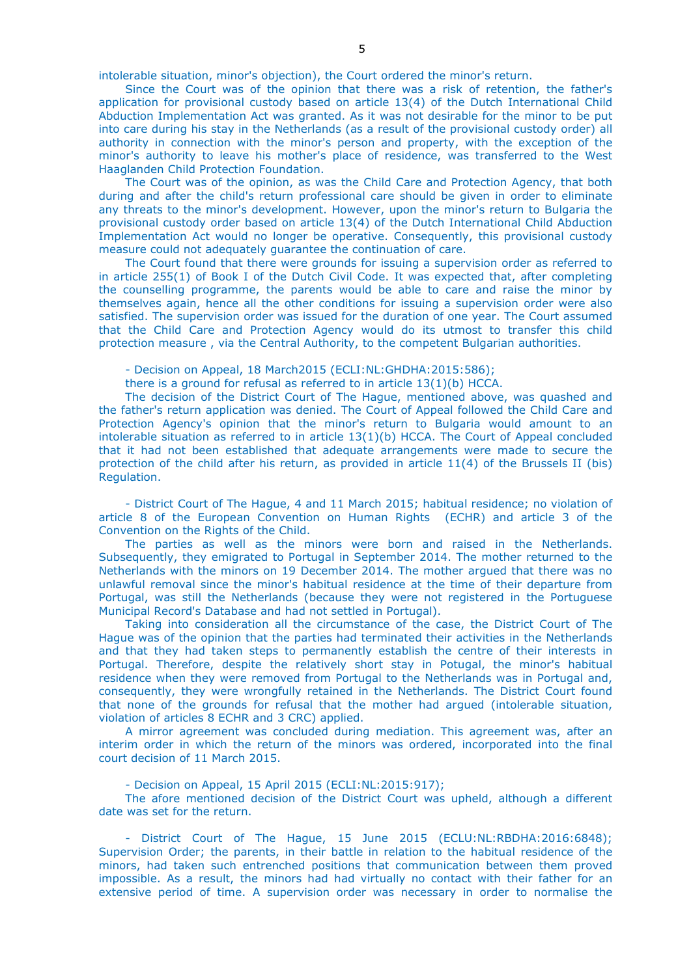intolerable situation, minor's objection), the Court ordered the minor's return.

Since the Court was of the opinion that there was a risk of retention, the father's application for provisional custody based on article 13(4) of the Dutch International Child Abduction Implementation Act was granted. As it was not desirable for the minor to be put into care during his stay in the Netherlands (as a result of the provisional custody order) all authority in connection with the minor's person and property, with the exception of the minor's authority to leave his mother's place of residence, was transferred to the West Haaglanden Child Protection Foundation.

The Court was of the opinion, as was the Child Care and Protection Agency, that both during and after the child's return professional care should be given in order to eliminate any threats to the minor's development. However, upon the minor's return to Bulgaria the provisional custody order based on article 13(4) of the Dutch International Child Abduction Implementation Act would no longer be operative. Consequently, this provisional custody measure could not adequately guarantee the continuation of care.

The Court found that there were grounds for issuing a supervision order as referred to in article 255(1) of Book I of the Dutch Civil Code. It was expected that, after completing the counselling programme, the parents would be able to care and raise the minor by themselves again, hence all the other conditions for issuing a supervision order were also satisfied. The supervision order was issued for the duration of one year. The Court assumed that the Child Care and Protection Agency would do its utmost to transfer this child protection measure , via the Central Authority, to the competent Bulgarian authorities.

- Decision on Appeal, 18 March2015 (ECLI:NL:GHDHA:2015:586);

there is a ground for refusal as referred to in article  $13(1)(b)$  HCCA.

The decision of the District Court of The Hague, mentioned above, was quashed and the father's return application was denied. The Court of Appeal followed the Child Care and Protection Agency's opinion that the minor's return to Bulgaria would amount to an intolerable situation as referred to in article  $13(1)(b)$  HCCA. The Court of Appeal concluded that it had not been established that adequate arrangements were made to secure the protection of the child after his return, as provided in article 11(4) of the Brussels II (bis) Regulation.

- District Court of The Hague, 4 and 11 March 2015; habitual residence; no violation of article 8 of the European Convention on Human Rights (ECHR) and article 3 of the Convention on the Rights of the Child.

The parties as well as the minors were born and raised in the Netherlands. Subsequently, they emigrated to Portugal in September 2014. The mother returned to the Netherlands with the minors on 19 December 2014. The mother argued that there was no unlawful removal since the minor's habitual residence at the time of their departure from Portugal, was still the Netherlands (because they were not registered in the Portuguese Municipal Record's Database and had not settled in Portugal).

Taking into consideration all the circumstance of the case, the District Court of The Hague was of the opinion that the parties had terminated their activities in the Netherlands and that they had taken steps to permanently establish the centre of their interests in Portugal. Therefore, despite the relatively short stay in Potugal, the minor's habitual residence when they were removed from Portugal to the Netherlands was in Portugal and, consequently, they were wrongfully retained in the Netherlands. The District Court found that none of the grounds for refusal that the mother had argued (intolerable situation, violation of articles 8 ECHR and 3 CRC) applied.

A mirror agreement was concluded during mediation. This agreement was, after an interim order in which the return of the minors was ordered, incorporated into the final court decision of 11 March 2015.

- Decision on Appeal, 15 April 2015 (ECLI:NL:2015:917);

The afore mentioned decision of the District Court was upheld, although a different date was set for the return.

- District Court of The Hague, 15 June 2015 (ECLU:NL:RBDHA:2016:6848); Supervision Order; the parents, in their battle in relation to the habitual residence of the minors, had taken such entrenched positions that communication between them proved impossible. As a result, the minors had had virtually no contact with their father for an extensive period of time. A supervision order was necessary in order to normalise the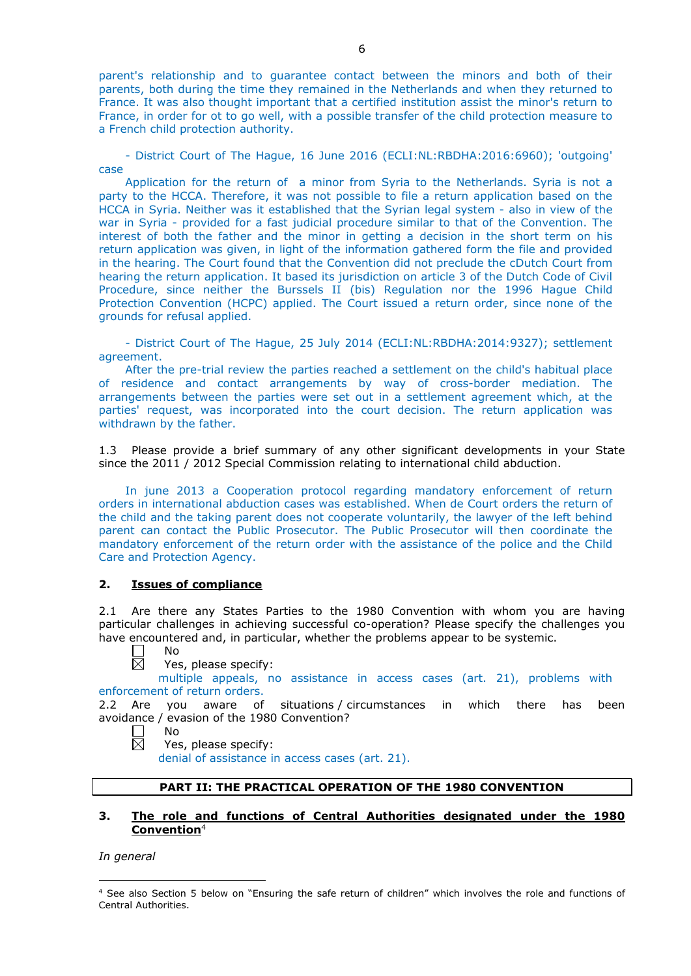parent's relationship and to guarantee contact between the minors and both of their parents, both during the time they remained in the Netherlands and when they returned to France. It was also thought important that a certified institution assist the minor's return to France, in order for ot to go well, with a possible transfer of the child protection measure to a French child protection authority.

- District Court of The Hague, 16 June 2016 (ECLI:NL:RBDHA:2016:6960); 'outgoing' case

Application for the return of a minor from Syria to the Netherlands. Syria is not a party to the HCCA. Therefore, it was not possible to file a return application based on the HCCA in Syria. Neither was it established that the Syrian legal system - also in view of the war in Syria - provided for a fast judicial procedure similar to that of the Convention. The interest of both the father and the minor in getting a decision in the short term on his return application was given, in light of the information gathered form the file and provided in the hearing. The Court found that the Convention did not preclude the cDutch Court from hearing the return application. It based its jurisdiction on article 3 of the Dutch Code of Civil Procedure, since neither the Burssels II (bis) Regulation nor the 1996 Hague Child Protection Convention (HCPC) applied. The Court issued a return order, since none of the grounds for refusal applied.

- District Court of The Hague, 25 July 2014 (ECLI:NL:RBDHA:2014:9327); settlement agreement.

After the pre-trial review the parties reached a settlement on the child's habitual place of residence and contact arrangements by way of cross-border mediation. The arrangements between the parties were set out in a settlement agreement which, at the parties' request, was incorporated into the court decision. The return application was withdrawn by the father.

1.3 Please provide a brief summary of any other significant developments in your State since the 2011 / 2012 Special Commission relating to international child abduction.

In june 2013 a Cooperation protocol regarding mandatory enforcement of return orders in international abduction cases was established. When de Court orders the return of the child and the taking parent does not cooperate voluntarily, the lawyer of the left behind parent can contact the Public Prosecutor. The Public Prosecutor will then coordinate the mandatory enforcement of the return order with the assistance of the police and the Child Care and Protection Agency.

### **2. Issues of compliance**

2.1 Are there any States Parties to the 1980 Convention with whom you are having particular challenges in achieving successful co-operation? Please specify the challenges you have encountered and, in particular, whether the problems appear to be systemic.

No  $\overline{\boxtimes}$ 

Yes, please specify:

multiple appeals, no assistance in access cases (art. 21), problems with enforcement of return orders.

2.2 Are you aware of situations / circumstances in which there has been avoidance / evasion of the 1980 Convention?

 $\perp$ No 反

Yes, please specify:

denial of assistance in access cases (art. 21).

# **PART II: THE PRACTICAL OPERATION OF THE 1980 CONVENTION**

# **3. The role and functions of Central Authorities designated under the 1980 Convention**<sup>4</sup>

*In general*

-

<sup>4</sup> See also Section 5 below on "Ensuring the safe return of children" which involves the role and functions of Central Authorities.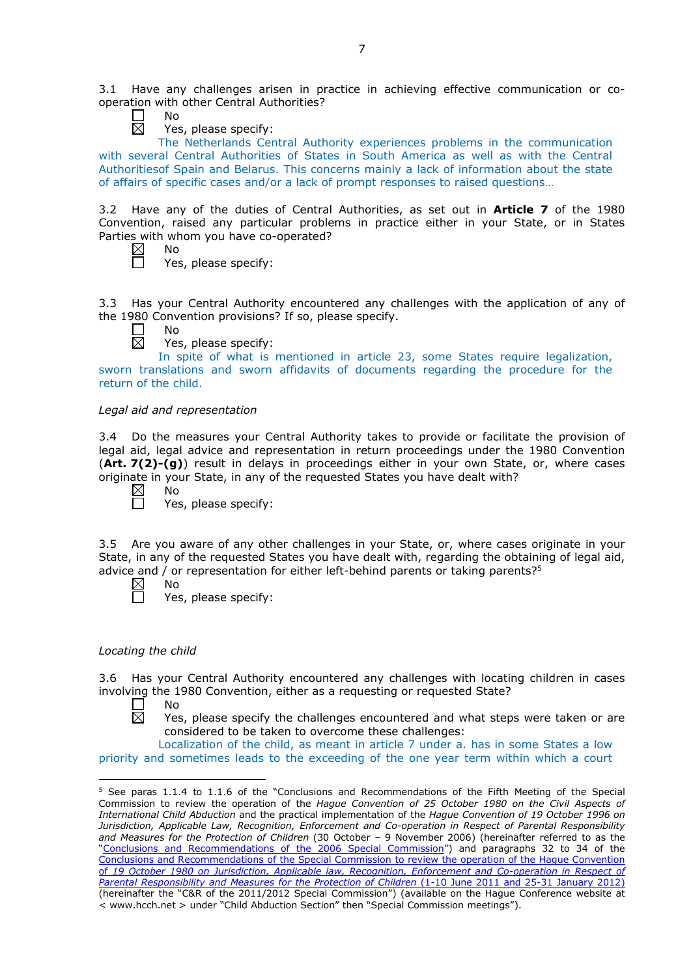3.1 Have any challenges arisen in practice in achieving effective communication or cooperation with other Central Authorities?

No 岗

Yes, please specify:

The Netherlands Central Authority experiences problems in the communication with several Central Authorities of States in South America as well as with the Central Authoritiesof Spain and Belarus. This concerns mainly a lack of information about the state of affairs of specific cases and/or a lack of prompt responses to raised questions…

3.2 Have any of the duties of Central Authorities, as set out in **Article 7** of the 1980 Convention, raised any particular problems in practice either in your State, or in States Parties with whom you have co-operated?

| Nο |  |  |
|----|--|--|
| ć  |  |  |

Yes, please specify:

3.3 Has your Central Authority encountered any challenges with the application of any of the 1980 Convention provisions? If so, please specify.

No  $\boxtimes$ 

Yes, please specify:

In spite of what is mentioned in article 23, some States require legalization, sworn translations and sworn affidavits of documents regarding the procedure for the return of the child.

# *Legal aid and representation*

3.4 Do the measures your Central Authority takes to provide or facilitate the provision of legal aid, legal advice and representation in return proceedings under the 1980 Convention (**Art. 7(2)-(g)**) result in delays in proceedings either in your own State, or, where cases originate in your State, in any of the requested States you have dealt with?

 $\boxtimes$ No

 $\Box$ 

Yes, please specify:

3.5 Are you aware of any other challenges in your State, or, where cases originate in your State, in any of the requested States you have dealt with, regarding the obtaining of legal aid, advice and / or representation for either left-behind parents or taking parents? $5$ 

 $\boxtimes$ 

No

Yes, please specify:

# *Locating the child*

3.6 Has your Central Authority encountered any challenges with locating children in cases involving the 1980 Convention, either as a requesting or requested State?

П No  $\overline{\boxtimes}$ 

<u>.</u>

Yes, please specify the challenges encountered and what steps were taken or are considered to be taken to overcome these challenges:

Localization of the child, as meant in article 7 under a. has in some States a low priority and sometimes leads to the exceeding of the one year term within which a court

<sup>5</sup> See paras 1.1.4 to 1.1.6 of the "Conclusions and Recommendations of the Fifth Meeting of the Special Commission to review the operation of the *Hague Convention of 25 October 1980 on the Civil Aspects of International Child Abduction* and the practical implementation of the *Hague Convention of 19 October 1996 on Jurisdiction, Applicable Law, Recognition, Enforcement and Co-operation in Respect of Parental Responsibility and Measures for the Protection of Children* (30 October – 9 November 2006) (hereinafter referred to as the ["Conclusions and Recommendations of the 2006 Special Commission"](https://assets.hcch.net/upload/concl28sc5_e.pdf)) and paragraphs 32 to 34 of the [Conclusions and Recommendations of the Special Commission](https://assets.hcch.net/upload/wop/concl28sc6_e.pdf) to review the operation of the Hague Convention of *19 October 1980 on Jurisdiction, Applicable law, [Recognition, Enforcement and Co-operation in Respect of](https://assets.hcch.net/upload/wop/concl28sc6_e.pdf)  [Parental Responsibility and Measures for the Protection of Children](https://assets.hcch.net/upload/wop/concl28sc6_e.pdf)* (1-10 June 2011 and 25-31 January 2012) (hereinafter the "C&R of the 2011/2012 Special Commission") (available on the Hague Conference website at < www.hcch.net > under "Child Abduction Section" then "Special Commission meetings").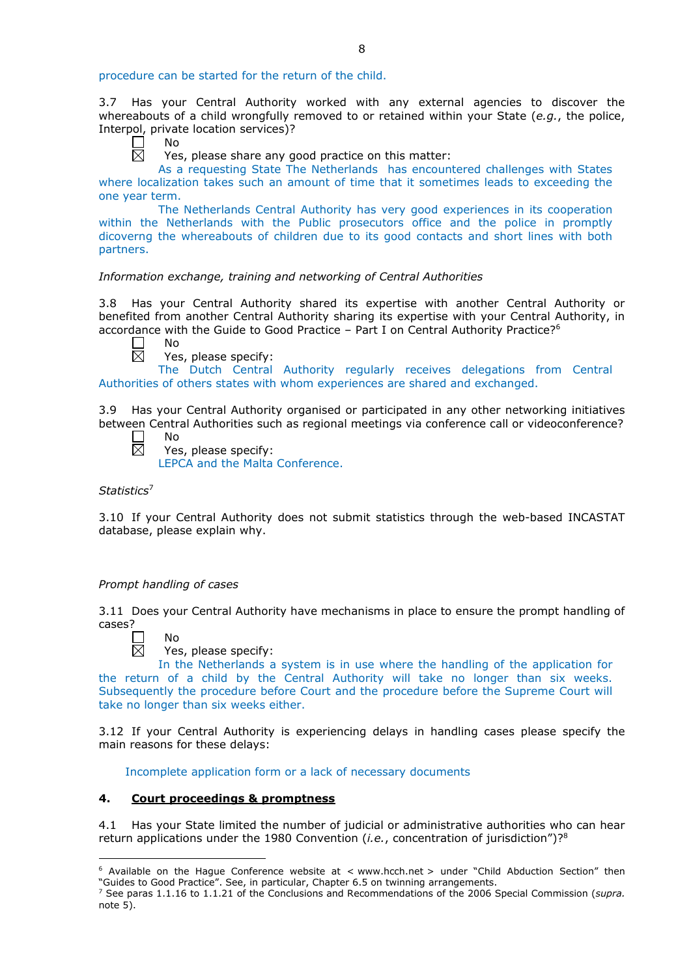procedure can be started for the return of the child.

3.7 Has your Central Authority worked with any external agencies to discover the whereabouts of a child wrongfully removed to or retained within your State (*e.g.*, the police, Interpol, private location services)?

┍ No 岗

Yes, please share any good practice on this matter:

As a requesting State The Netherlands has encountered challenges with States where localization takes such an amount of time that it sometimes leads to exceeding the one year term.

The Netherlands Central Authority has very good experiences in its cooperation within the Netherlands with the Public prosecutors office and the police in promptly dicoverng the whereabouts of children due to its good contacts and short lines with both partners.

# *Information exchange, training and networking of Central Authorities*

3.8 Has your Central Authority shared its expertise with another Central Authority or benefited from another Central Authority sharing its expertise with your Central Authority, in accordance with the Guide to Good Practice – Part I on Central Authority Practice?6

 $\Box$ 反

No

Yes, please specify:

The Dutch Central Authority regularly receives delegations from Central Authorities of others states with whom experiences are shared and exchanged.

3.9 Has your Central Authority organised or participated in any other networking initiatives between Central Authorities such as regional meetings via conference call or videoconference? No

 $\Box$  $\overline{\boxtimes}$ 

Yes, please specify: LEPCA and the Malta Conference.

*Statistics*<sup>7</sup>

3.10 If your Central Authority does not submit statistics through the web-based INCASTAT database, please explain why.

# *Prompt handling of cases*

3.11 Does your Central Authority have mechanisms in place to ensure the prompt handling of cases?



-

Yes, please specify:

In the Netherlands a system is in use where the handling of the application for the return of a child by the Central Authority will take no longer than six weeks. Subsequently the procedure before Court and the procedure before the Supreme Court will take no longer than six weeks either.

3.12 If your Central Authority is experiencing delays in handling cases please specify the main reasons for these delays:

Incomplete application form or a lack of necessary documents

# **4. Court proceedings & promptness**

4.1 Has your State limited the number of judicial or administrative authorities who can hear return applications under the 1980 Convention (*i.e.*, concentration of jurisdiction")?8

 $6$  Available on the Hague Conference website at < www.hcch.net > under "Child Abduction Section" then "Guides to Good Practice". See, in particular, Chapter 6.5 on twinning arrangements.

<sup>7</sup> See paras 1.1.16 to 1.1.21 of the Conclusions and Recommendations of the 2006 Special Commission (*supra.*  note  $5$ ).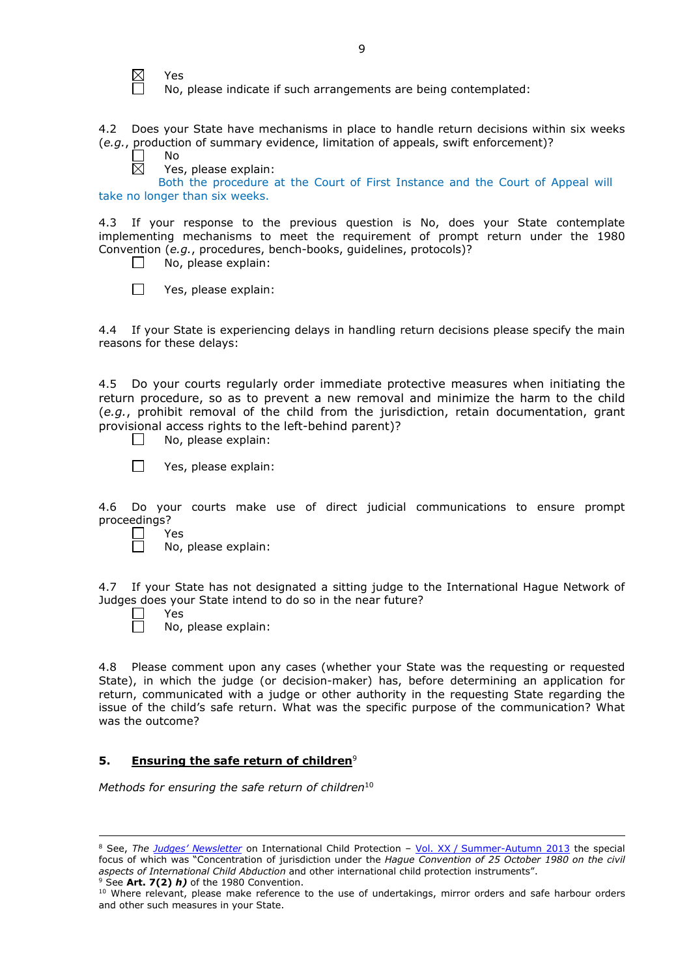$\boxtimes$ Yes

No, please indicate if such arrangements are being contemplated:

4.2 Does your State have mechanisms in place to handle return decisions within six weeks (*e.g.*, production of summary evidence, limitation of appeals, swift enforcement)?

No

岗 Yes, please explain:

Both the procedure at the Court of First Instance and the Court of Appeal will take no longer than six weeks.

4.3 If your response to the previous question is No, does your State contemplate implementing mechanisms to meet the requirement of prompt return under the 1980 Convention (*e.g.*, procedures, bench-books, guidelines, protocols)?

 $\Box$ No, please explain:

 $\Box$ Yes, please explain:

4.4 If your State is experiencing delays in handling return decisions please specify the main reasons for these delays:

4.5 Do your courts regularly order immediate protective measures when initiating the return procedure, so as to prevent a new removal and minimize the harm to the child (*e.g.*, prohibit removal of the child from the jurisdiction, retain documentation, grant provisional access rights to the left-behind parent)?

- $\Box$ No, please explain:
- $\Box$ Yes, please explain:

4.6 Do your courts make use of direct judicial communications to ensure prompt proceedings?

- $\Box$ Yes
	- No, please explain:

4.7 If your State has not designated a sitting judge to the International Hague Network of Judges does your State intend to do so in the near future?

 $\Box$ Yes

-

П No, please explain:

4.8 Please comment upon any cases (whether your State was the requesting or requested State), in which the judge (or decision-maker) has, before determining an application for return, communicated with a judge or other authority in the requesting State regarding the issue of the child's safe return. What was the specific purpose of the communication? What was the outcome?

# **5. Ensuring the safe return of children**<sup>9</sup>

*Methods for ensuring the safe return of children*<sup>10</sup>

<sup>9</sup> See **Art. 7(2)** *h)* of the 1980 Convention.

<sup>8</sup> See, *The [Judges' Newsletter](https://www.hcch.net/en/instruments/conventions/publications2/judges-newsletter)* on International Child Protection – Vol. XX / [Summer-Autumn 2013](https://assets.hcch.net/upload/newsletter/nl2013tome20en.pdf) the special focus of which was "Concentration of jurisdiction under the *Hague Convention of 25 October 1980 on the civil aspects of International Child Abduction* and other international child protection instruments".

<sup>10</sup> Where relevant, please make reference to the use of undertakings, mirror orders and safe harbour orders and other such measures in your State.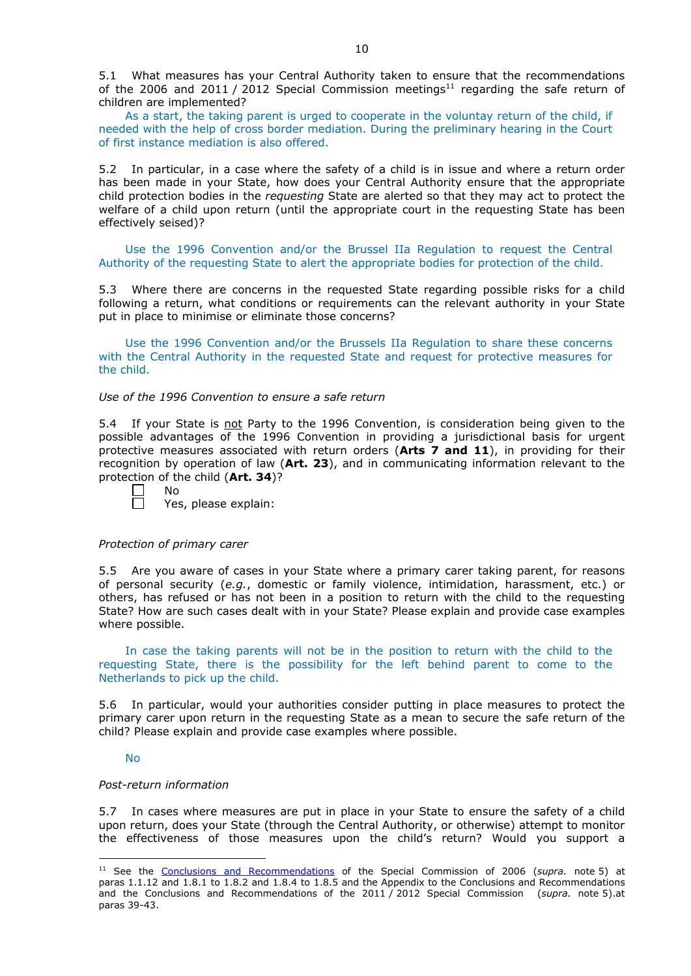5.1 What measures has your Central Authority taken to ensure that the recommendations of the 2006 and 2011 / 2012 Special Commission meetings<sup>11</sup> regarding the safe return of children are implemented?

As a start, the taking parent is urged to cooperate in the voluntay return of the child, if needed with the help of cross border mediation. During the preliminary hearing in the Court of first instance mediation is also offered.

5.2 In particular, in a case where the safety of a child is in issue and where a return order has been made in your State, how does your Central Authority ensure that the appropriate child protection bodies in the *requesting* State are alerted so that they may act to protect the welfare of a child upon return (until the appropriate court in the requesting State has been effectively seised)?

Use the 1996 Convention and/or the Brussel IIa Regulation to request the Central Authority of the requesting State to alert the appropriate bodies for protection of the child.

5.3 Where there are concerns in the requested State regarding possible risks for a child following a return, what conditions or requirements can the relevant authority in your State put in place to minimise or eliminate those concerns?

Use the 1996 Convention and/or the Brussels IIa Regulation to share these concerns with the Central Authority in the requested State and request for protective measures for the child.

*Use of the 1996 Convention to ensure a safe return*

5.4 If your State is not Party to the 1996 Convention, is consideration being given to the possible advantages of the 1996 Convention in providing a jurisdictional basis for urgent protective measures associated with return orders (**Arts 7 and 11**), in providing for their recognition by operation of law (**Art. 23**), and in communicating information relevant to the protection of the child (**Art. 34**)?

- $\perp$ No
	- Yes, please explain:

# *Protection of primary carer*

5.5 Are you aware of cases in your State where a primary carer taking parent, for reasons of personal security (*e.g.*, domestic or family violence, intimidation, harassment, etc.) or others, has refused or has not been in a position to return with the child to the requesting State? How are such cases dealt with in your State? Please explain and provide case examples where possible.

In case the taking parents will not be in the position to return with the child to the requesting State, there is the possibility for the left behind parent to come to the Netherlands to pick up the child.

5.6 In particular, would your authorities consider putting in place measures to protect the primary carer upon return in the requesting State as a mean to secure the safe return of the child? Please explain and provide case examples where possible.

# No

-

# *Post-return information*

5.7 In cases where measures are put in place in your State to ensure the safety of a child upon return, does your State (through the Central Authority, or otherwise) attempt to monitor the effectiveness of those measures upon the child's return? Would you support a

<sup>11</sup> See the [Conclusions and Recommendations](https://assets.hcch.net/upload/concl28sc5_e.pdf) of the Special Commission of 2006 (*supra.* note 5) at paras 1.1.12 and 1.8.1 to 1.8.2 and 1.8.4 to 1.8.5 and the Appendix to the Conclusions and Recommendations and the [Conclusions and Recommendations of the 2011](https://assets.hcch.net/upload/wop/concl28sc6_e.pdf) / 2012 Special Commission (*supra.* note 5).at paras 39-43.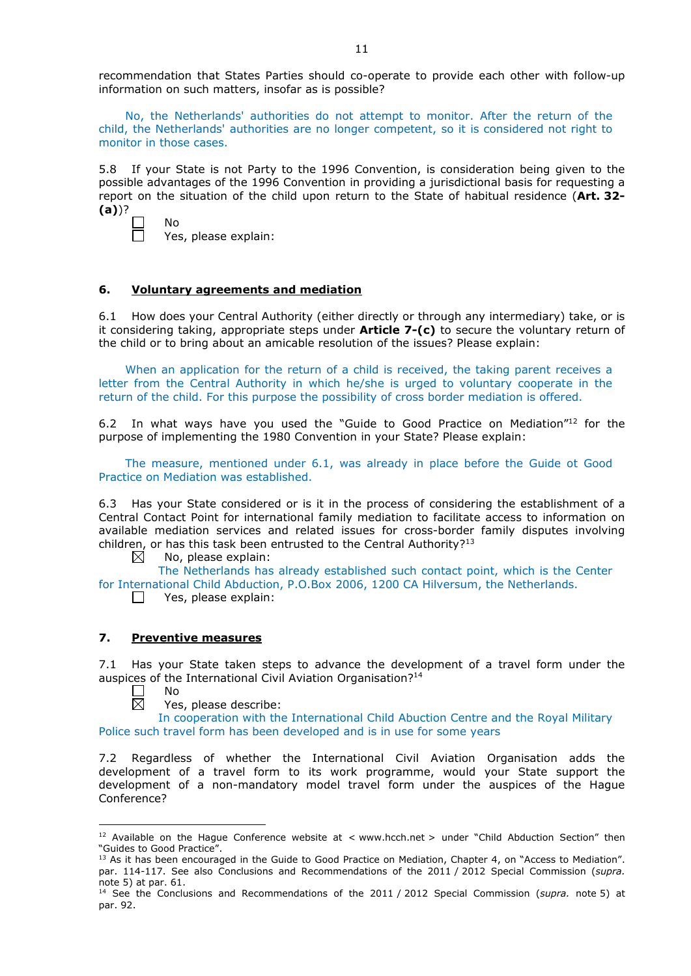recommendation that States Parties should co-operate to provide each other with follow-up information on such matters, insofar as is possible?

No, the Netherlands' authorities do not attempt to monitor. After the return of the child, the Netherlands' authorities are no longer competent, so it is considered not right to monitor in those cases.

5.8 If your State is not Party to the 1996 Convention, is consideration being given to the possible advantages of the 1996 Convention in providing a jurisdictional basis for requesting a report on the situation of the child upon return to the State of habitual residence (**Art. 32- (a)**)?

| - |  |  |
|---|--|--|
|   |  |  |
|   |  |  |

n

Yes, please explain:

No

# **6. Voluntary agreements and mediation**

6.1 How does your Central Authority (either directly or through any intermediary) take, or is it considering taking, appropriate steps under **Article 7-(c)** to secure the voluntary return of the child or to bring about an amicable resolution of the issues? Please explain:

When an application for the return of a child is received, the taking parent receives a letter from the Central Authority in which he/she is urged to voluntary cooperate in the return of the child. For this purpose the possibility of cross border mediation is offered.

6.2 In what ways have you used the "Guide to Good Practice on Mediation" $12$  for the purpose of implementing the 1980 Convention in your State? Please explain:

The measure, mentioned under 6.1, was already in place before the Guide ot Good Practice on Mediation was established.

6.3 Has your State considered or is it in the process of considering the establishment of a Central Contact Point for international family mediation to facilitate access to information on available mediation services and related issues for cross-border family disputes involving children, or has this task been entrusted to the Central Authority?<sup>13</sup>

 $\boxtimes$ No, please explain:

The Netherlands has already established such contact point, which is the Center for International Child Abduction, P.O.Box 2006, 1200 CA Hilversum, the Netherlands.

 $\Box$  Yes, please explain:

# **7. Preventive measures**

7.1 Has your State taken steps to advance the development of a travel form under the auspices of the International Civil Aviation Organisation?<sup>14</sup>

No  $\bar{\boxtimes}$ 

<u>.</u>

Yes, please describe:

In cooperation with the International Child Abuction Centre and the Royal Military Police such travel form has been developed and is in use for some years

7.2 Regardless of whether the International Civil Aviation Organisation adds the development of a travel form to its work programme, would your State support the development of a non-mandatory model travel form under the auspices of the Hague Conference?

<sup>&</sup>lt;sup>12</sup> Available on the Hague Conference website at < www.hcch.net > under "Child Abduction Section" then "Guides to Good Practice".

<sup>&</sup>lt;sup>13</sup> As it has been encouraged in the Guide to Good Practice on Mediation, Chapter 4, on "Access to Mediation". par. 114-117. See also [Conclusions and Recommendations of the 2011](https://assets.hcch.net/upload/wop/concl28sc6_e.pdf) / 2012 Special Commission (*supra.* note 5) at par. 61.

<sup>14</sup> See the [Conclusions and Recommendations of the 2011](https://assets.hcch.net/upload/wop/concl28sc6_e.pdf) / 2012 Special Commission (*supra.* note 5) at par. 92.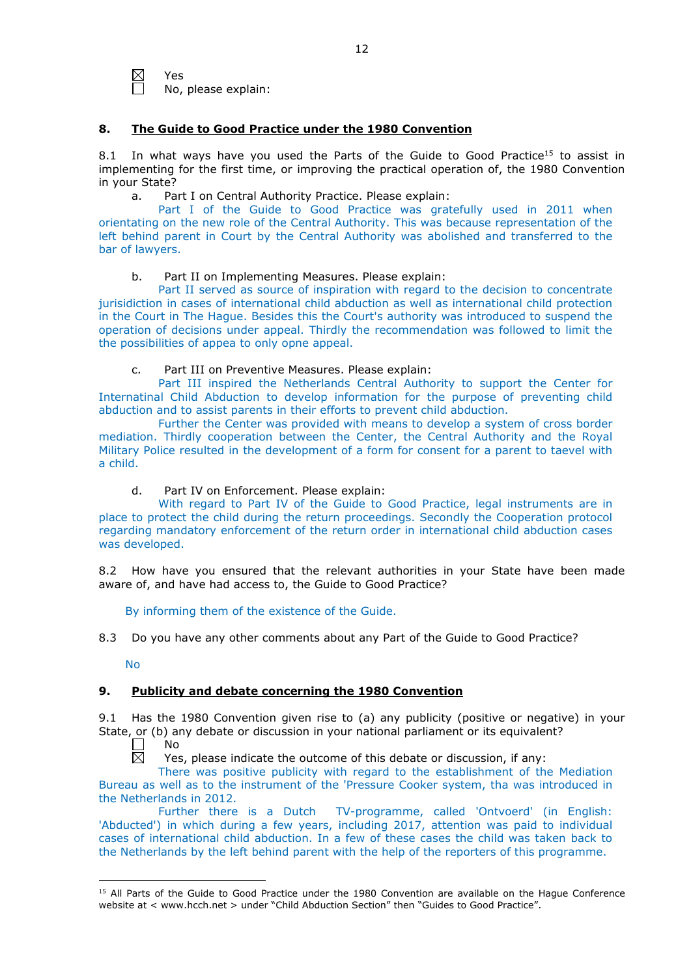$\boxtimes$ Yes

No, please explain:

# **8. The Guide to Good Practice under the 1980 Convention**

8.1 In what ways have you used the Parts of the Guide to Good Practice<sup>15</sup> to assist in implementing for the first time, or improving the practical operation of, the 1980 Convention in your State?

a. Part I on Central Authority Practice. Please explain:

Part I of the Guide to Good Practice was gratefully used in 2011 when orientating on the new role of the Central Authority. This was because representation of the left behind parent in Court by the Central Authority was abolished and transferred to the bar of lawyers.

# b. Part II on Implementing Measures. Please explain:

Part II served as source of inspiration with regard to the decision to concentrate jurisidiction in cases of international child abduction as well as international child protection in the Court in The Hague. Besides this the Court's authority was introduced to suspend the operation of decisions under appeal. Thirdly the recommendation was followed to limit the the possibilities of appea to only opne appeal.

# c. Part III on Preventive Measures. Please explain:

Part III inspired the Netherlands Central Authority to support the Center for Internatinal Child Abduction to develop information for the purpose of preventing child abduction and to assist parents in their efforts to prevent child abduction.

Further the Center was provided with means to develop a system of cross border mediation. Thirdly cooperation between the Center, the Central Authority and the Royal Military Police resulted in the development of a form for consent for a parent to taevel with a child.

d. Part IV on Enforcement. Please explain:

With regard to Part IV of the Guide to Good Practice, legal instruments are in place to protect the child during the return proceedings. Secondly the Cooperation protocol regarding mandatory enforcement of the return order in international child abduction cases was developed.

8.2 How have you ensured that the relevant authorities in your State have been made aware of, and have had access to, the Guide to Good Practice?

By informing them of the existence of the Guide.

8.3 Do you have any other comments about any Part of the Guide to Good Practice?

No

# **9. Publicity and debate concerning the 1980 Convention**

9.1 Has the 1980 Convention given rise to (a) any publicity (positive or negative) in your State, or (b) any debate or discussion in your national parliament or its equivalent?

No

 $\boxtimes$ Yes, please indicate the outcome of this debate or discussion, if any:

There was positive publicity with regard to the establishment of the Mediation Bureau as well as to the instrument of the 'Pressure Cooker system, tha was introduced in the Netherlands in 2012.

Further there is a Dutch TV-programme, called 'Ontvoerd' (in English: 'Abducted') in which during a few years, including 2017, attention was paid to individual cases of international child abduction. In a few of these cases the child was taken back to the Netherlands by the left behind parent with the help of the reporters of this programme.

<sup>-</sup><sup>15</sup> All Parts of the Guide to Good Practice under the 1980 Convention are available on the Hague Conference website at < www.hcch.net > under "Child Abduction Section" then "Guides to Good Practice".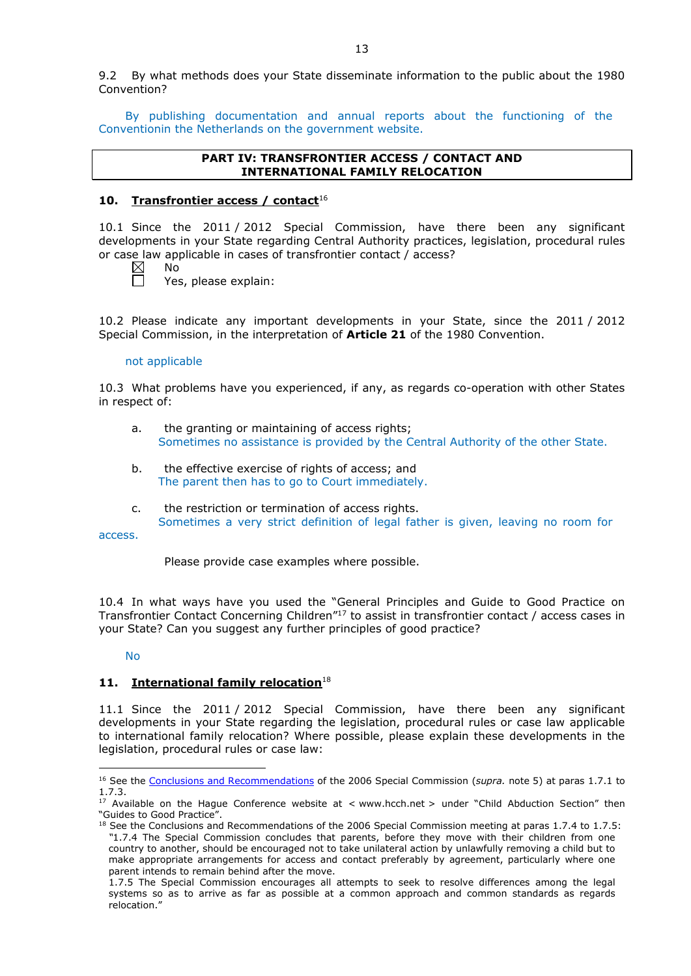9.2 By what methods does your State disseminate information to the public about the 1980 Convention?

By publishing documentation and annual reports about the functioning of the Conventionin the Netherlands on the government website.

# **PART IV: TRANSFRONTIER ACCESS / CONTACT AND INTERNATIONAL FAMILY RELOCATION**

# **10. Transfrontier access / contact**<sup>16</sup>

10.1 Since the 2011 / 2012 Special Commission, have there been any significant developments in your State regarding Central Authority practices, legislation, procedural rules or case law applicable in cases of transfrontier contact / access?

 $\boxtimes$ No

 $\Box$ Yes, please explain:

10.2 Please indicate any important developments in your State, since the 2011 / 2012 Special Commission, in the interpretation of **Article 21** of the 1980 Convention.

### not applicable

10.3 What problems have you experienced, if any, as regards co-operation with other States in respect of:

- a. the granting or maintaining of access rights; Sometimes no assistance is provided by the Central Authority of the other State.
- b. the effective exercise of rights of access; and The parent then has to go to Court immediately.
- c. the restriction or termination of access rights. Sometimes a very strict definition of legal father is given, leaving no room for

access.

Please provide case examples where possible.

10.4 In what ways have you used the "General Principles and Guide to Good Practice on Transfrontier Contact Concerning Children"17 to assist in transfrontier contact / access cases in your State? Can you suggest any further principles of good practice?

# No

<u>.</u>

# **11. International family relocation**<sup>18</sup>

11.1 Since the 2011 / 2012 Special Commission, have there been any significant developments in your State regarding the legislation, procedural rules or case law applicable to international family relocation? Where possible, please explain these developments in the legislation, procedural rules or case law:

<sup>16</sup> See the [Conclusions and Recommendations](https://assets.hcch.net/upload/concl28sc5_e.pdf) of the 2006 Special Commission (*supra.* note 5) at paras 1.7.1 to 1.7.3.

<sup>&</sup>lt;sup>17</sup> Available on the Hague Conference website at < www.hcch.net > under "Child Abduction Section" then "Guides to Good Practice".

 $18$  See the Conclusions and Recommendations of the 2006 Special Commission meeting at paras 1.7.4 to 1.7.5: *"*1.7.4 The Special Commission concludes that parents, before they move with their children from one country to another, should be encouraged not to take unilateral action by unlawfully removing a child but to make appropriate arrangements for access and contact preferably by agreement, particularly where one parent intends to remain behind after the move.

<sup>1.7.5</sup> The Special Commission encourages all attempts to seek to resolve differences among the legal systems so as to arrive as far as possible at a common approach and common standards as regards relocation."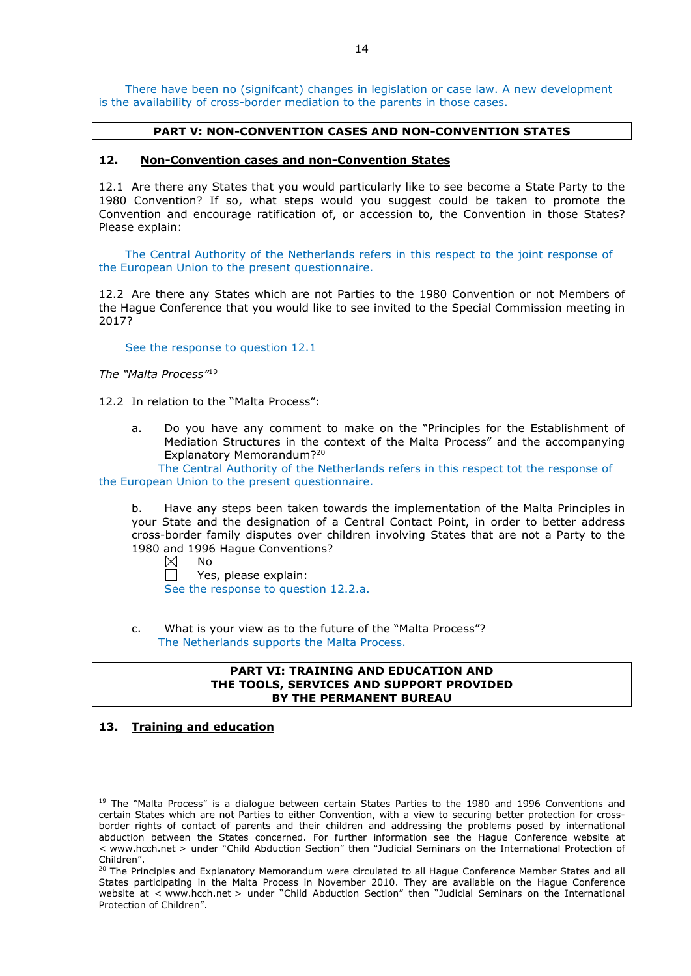There have been no (signifcant) changes in legislation or case law. A new development is the availability of cross-border mediation to the parents in those cases.

# **PART V: NON-CONVENTION CASES AND NON-CONVENTION STATES**

### **12. Non-Convention cases and non-Convention States**

12.1 Are there any States that you would particularly like to see become a State Party to the 1980 Convention? If so, what steps would you suggest could be taken to promote the Convention and encourage ratification of, or accession to, the Convention in those States? Please explain:

The Central Authority of the Netherlands refers in this respect to the joint response of the European Union to the present questionnaire.

12.2 Are there any States which are not Parties to the 1980 Convention or not Members of the Hague Conference that you would like to see invited to the Special Commission meeting in 2017?

#### See the response to question 12.1

*The "Malta Process"*<sup>19</sup>

12.2 In relation to the "Malta Process":

a. Do you have any comment to make on the "Principles for the Establishment of Mediation Structures in the context of the Malta Process" and the accompanying Explanatory Memorandum?20

The Central Authority of the Netherlands refers in this respect tot the response of the European Union to the present questionnaire.

b. Have any steps been taken towards the implementation of the Malta Principles in your State and the designation of a Central Contact Point, in order to better address cross-border family disputes over children involving States that are not a Party to the 1980 and 1996 Hague Conventions?

 $\boxtimes$ No

 $\Box$ Yes, please explain: See the response to question 12.2.a.

c. What is your view as to the future of the "Malta Process"? The Netherlands supports the Malta Process.

# **PART VI: TRAINING AND EDUCATION AND THE TOOLS, SERVICES AND SUPPORT PROVIDED BY THE PERMANENT BUREAU**

# **13. Training and education**

<u>.</u>

<sup>&</sup>lt;sup>19</sup> The "Malta Process" is a dialogue between certain States Parties to the 1980 and 1996 Conventions and certain States which are not Parties to either Convention, with a view to securing better protection for crossborder rights of contact of parents and their children and addressing the problems posed by international abduction between the States concerned. For further information see the Hague Conference website at < www.hcch.net > under "Child Abduction Section" then "Judicial Seminars on the International Protection of Children".

<sup>20</sup> The Principles and Explanatory Memorandum were circulated to all Hague Conference Member States and all States participating in the Malta Process in November 2010. They are available on the Hague Conference website at < www.hcch.net > under "Child Abduction Section" then "Judicial Seminars on the International Protection of Children".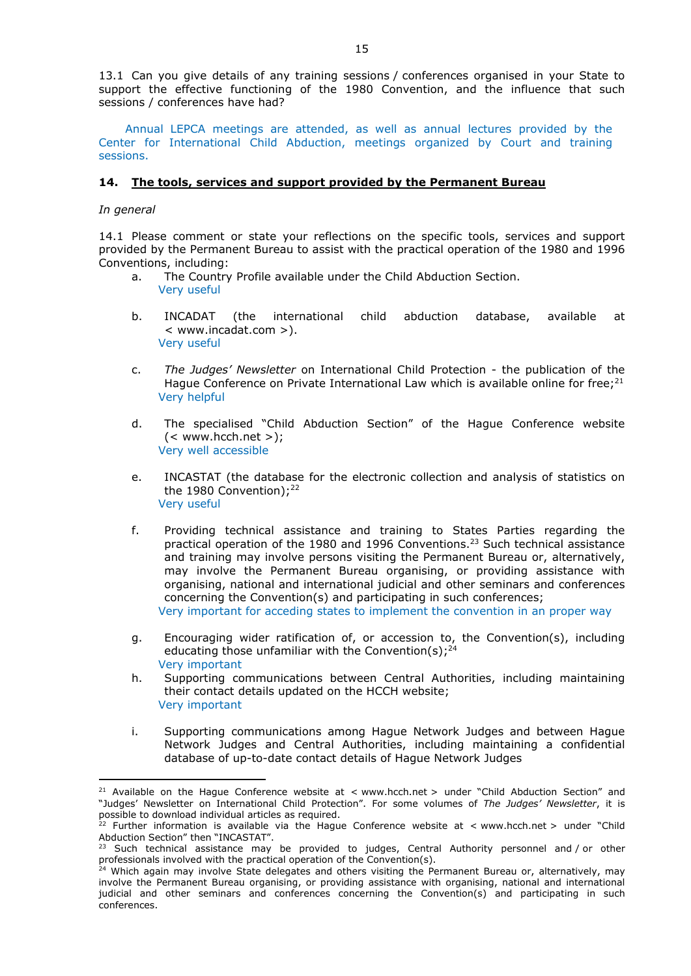13.1 Can you give details of any training sessions / conferences organised in your State to support the effective functioning of the 1980 Convention, and the influence that such sessions / conferences have had?

Annual LEPCA meetings are attended, as well as annual lectures provided by the Center for International Child Abduction, meetings organized by Court and training sessions.

# **14. The tools, services and support provided by the Permanent Bureau**

# *In general*

<u>.</u>

14.1 Please comment or state your reflections on the specific tools, services and support provided by the Permanent Bureau to assist with the practical operation of the 1980 and 1996 Conventions, including:

- a. The Country Profile available under the Child Abduction Section. Very useful
- b. INCADAT (the international child abduction database, available at < www.incadat.com >). Very useful
- c. *The Judges' Newsletter* on International Child Protection the publication of the Hague Conference on Private International Law which is available online for free; $^{21}$ Very helpful
- d. The specialised "Child Abduction Section" of the Hague Conference website  $(<$  www.hcch.net >); Very well accessible
- e. INCASTAT (the database for the electronic collection and analysis of statistics on the 1980 Convention); $^{22}$ Very useful
- f. Providing technical assistance and training to States Parties regarding the practical operation of the 1980 and 1996 Conventions.23 Such technical assistance and training may involve persons visiting the Permanent Bureau or, alternatively, may involve the Permanent Bureau organising, or providing assistance with organising, national and international judicial and other seminars and conferences concerning the Convention(s) and participating in such conferences; Very important for acceding states to implement the convention in an proper way
- g. Encouraging wider ratification of, or accession to, the Convention(s), including educating those unfamiliar with the Convention(s);<sup>24</sup> Very important
- h. Supporting communications between Central Authorities, including maintaining their contact details updated on the HCCH website; Very important
- i. Supporting communications among Hague Network Judges and between Hague Network Judges and Central Authorities, including maintaining a confidential database of up-to-date contact details of Hague Network Judges

<sup>&</sup>lt;sup>21</sup> Available on the Hague Conference website at < www.hcch.net > under "Child Abduction Section" and "Judges' Newsletter on International Child Protection". For some volumes of *The Judges' Newsletter*, it is possible to download individual articles as required.

<sup>&</sup>lt;sup>22</sup> Further information is available via the Hague Conference website at  $\lt$  www.hcch.net  $>$  under "Child Abduction Section" then "INCASTAT".

<sup>&</sup>lt;sup>23</sup> Such technical assistance may be provided to judges, Central Authority personnel and / or other professionals involved with the practical operation of the Convention(s).

<sup>&</sup>lt;sup>24</sup> Which again may involve State delegates and others visiting the Permanent Bureau or, alternatively, may involve the Permanent Bureau organising, or providing assistance with organising, national and international judicial and other seminars and conferences concerning the Convention(s) and participating in such conferences.